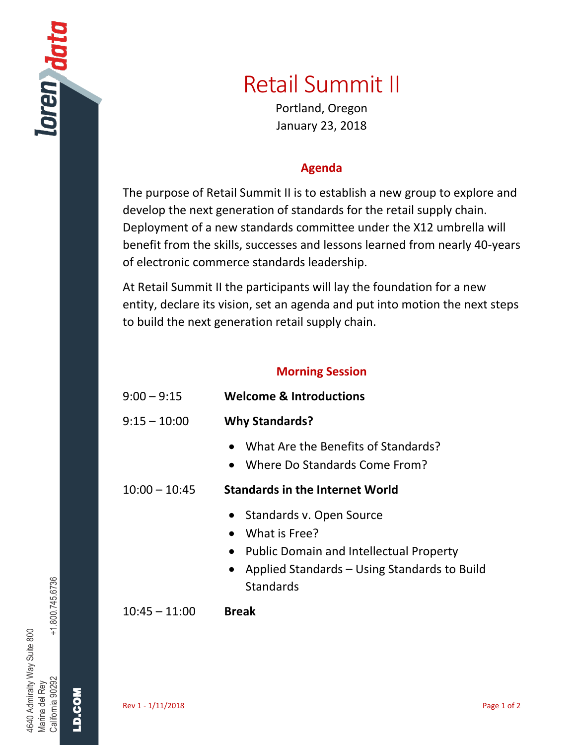## Retail Summit II

Portland, Oregon January 23, 2018

## **Agenda**

The purpose of Retail Summit II is to establish a new group to explore and develop the next generation of standards for the retail supply chain. Deployment of a new standards committee under the X12 umbrella will benefit from the skills, successes and lessons learned from nearly 40-years of electronic commerce standards leadership.

At Retail Summit II the participants will lay the foundation for a new entity, declare its vision, set an agenda and put into motion the next steps to build the next generation retail supply chain.

## **Morning Session**

| $9:00 - 9:15$   | <b>Welcome &amp; Introductions</b>                                                                                                                             |
|-----------------|----------------------------------------------------------------------------------------------------------------------------------------------------------------|
| $9:15 - 10:00$  | <b>Why Standards?</b>                                                                                                                                          |
|                 | What Are the Benefits of Standards?<br>Where Do Standards Come From?<br>$\bullet$                                                                              |
| $10:00 - 10:45$ | <b>Standards in the Internet World</b>                                                                                                                         |
|                 | • Standards v. Open Source<br>What is Free?<br>• Public Domain and Intellectual Property<br>• Applied Standards – Using Standards to Build<br><b>Standards</b> |
| $10:45 - 11:00$ | <b>Break</b>                                                                                                                                                   |

 $+1.800.745.6736$ California 90292 +1.800.745.6736 4640 Admiralty Way Suite 800 4640 Admiralty Way Suite 800 Marina del Rey

LD.COM